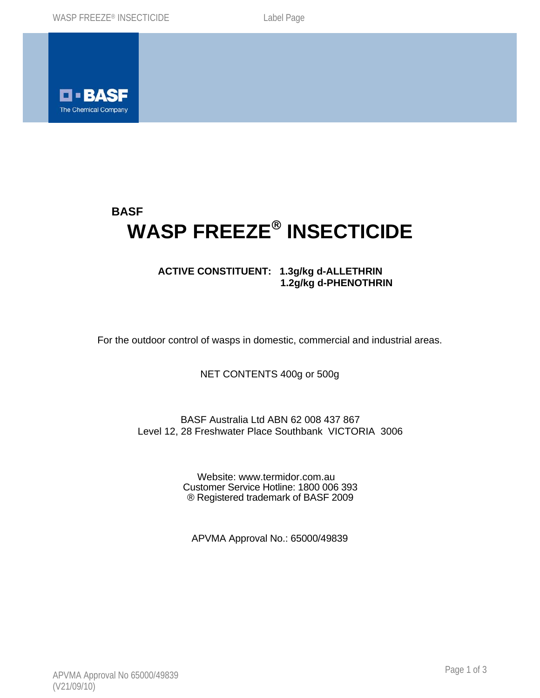

# **BASF WASP FREEZE**® **INSECTICIDE**

# **ACTIVE CONSTITUENT: 1.3g/kg d-ALLETHRIN 1.2g/kg d-PHENOTHRIN**

For the outdoor control of wasps in domestic, commercial and industrial areas.

NET CONTENTS 400g or 500g

## BASF Australia Ltd ABN 62 008 437 867 Level 12, 28 Freshwater Place Southbank VICTORIA 3006

Website: www.termidor.com.au Customer Service Hotline: 1800 006 393 ® Registered trademark of BASF 2009

APVMA Approval No.: 65000/49839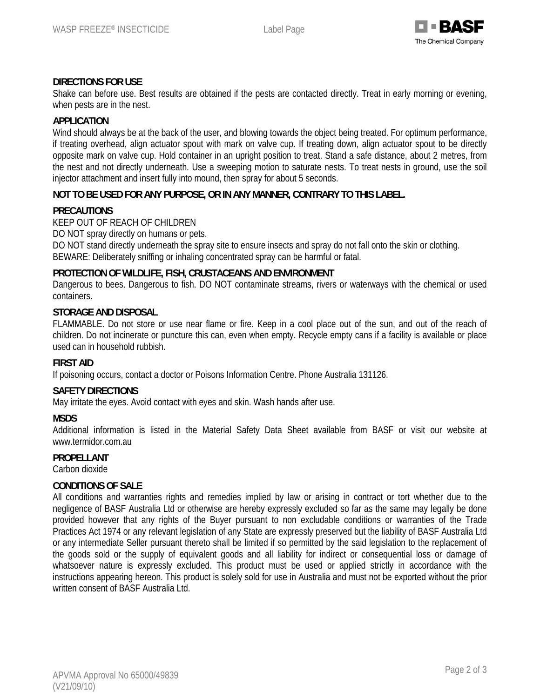

## **DIRECTIONS FOR USE**

Shake can before use. Best results are obtained if the pests are contacted directly. Treat in early morning or evening, when pests are in the nest.

#### **APPLICATION**

Wind should always be at the back of the user, and blowing towards the object being treated. For optimum performance, if treating overhead, align actuator spout with mark on valve cup. If treating down, align actuator spout to be directly opposite mark on valve cup. Hold container in an upright position to treat. Stand a safe distance, about 2 metres, from the nest and not directly underneath. Use a sweeping motion to saturate nests. To treat nests in ground, use the soil injector attachment and insert fully into mound, then spray for about 5 seconds.

#### **NOT TO BE USED FOR ANY PURPOSE, OR IN ANY MANNER, CONTRARY TO THIS LABEL.**

#### **PRECAUTIONS**

KEEP OUT OF REACH OF CHILDREN

DO NOT spray directly on humans or pets.

DO NOT stand directly underneath the spray site to ensure insects and spray do not fall onto the skin or clothing. BEWARE: Deliberately sniffing or inhaling concentrated spray can be harmful or fatal.

#### **PROTECTION OF WILDLIFE, FISH, CRUSTACEANS AND ENVIRONMENT**

Dangerous to bees. Dangerous to fish. DO NOT contaminate streams, rivers or waterways with the chemical or used containers.

#### **STORAGE AND DISPOSAL**

FLAMMABLE. Do not store or use near flame or fire. Keep in a cool place out of the sun, and out of the reach of children. Do not incinerate or puncture this can, even when empty. Recycle empty cans if a facility is available or place used can in household rubbish.

#### **FIRST AID**

If poisoning occurs, contact a doctor or Poisons Information Centre. Phone Australia 131126.

#### **SAFETY DIRECTIONS**

May irritate the eyes. Avoid contact with eyes and skin. Wash hands after use.

#### **MSDS**

Additional information is listed in the Material Safety Data Sheet available from BASF or visit our website at www.termidor.com.au

### **PROPELLANT**

Carbon dioxide

## **CONDITIONS OF SALE**

All conditions and warranties rights and remedies implied by law or arising in contract or tort whether due to the negligence of BASF Australia Ltd or otherwise are hereby expressly excluded so far as the same may legally be done provided however that any rights of the Buyer pursuant to non excludable conditions or warranties of the Trade Practices Act 1974 or any relevant legislation of any State are expressly preserved but the liability of BASF Australia Ltd or any intermediate Seller pursuant thereto shall be limited if so permitted by the said legislation to the replacement of the goods sold or the supply of equivalent goods and all liability for indirect or consequential loss or damage of whatsoever nature is expressly excluded. This product must be used or applied strictly in accordance with the instructions appearing hereon. This product is solely sold for use in Australia and must not be exported without the prior written consent of BASF Australia Ltd.